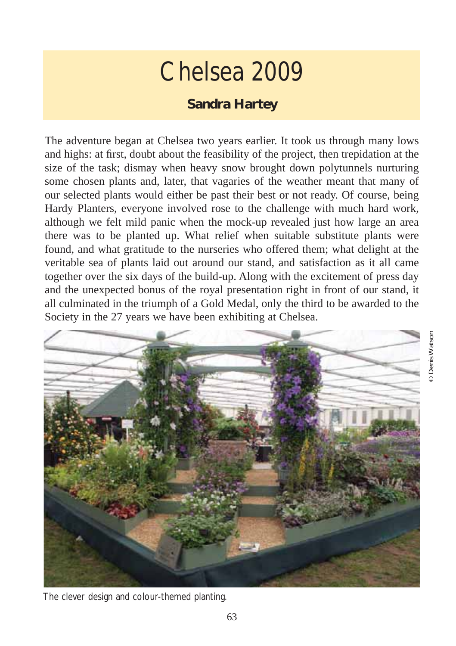## Chelsea 2009

## **Sandra Hartey**

The adventure began at Chelsea two years earlier. It took us through many lows and highs: at first, doubt about the feasibility of the project, then trepidation at the size of the task; dismay when heavy snow brought down polytunnels nurturing some chosen plants and, later, that vagaries of the weather meant that many of our selected plants would either be past their best or not ready. Of course, being Hardy Planters, everyone involved rose to the challenge with much hard work, although we felt mild panic when the mock-up revealed just how large an area there was to be planted up. What relief when suitable substitute plants were found, and what gratitude to the nurseries who offered them; what delight at the veritable sea of plants laid out around our stand, and satisfaction as it all came together over the six days of the build-up. Along with the excitement of press day and the unexpected bonus of the royal presentation right in front of our stand, it all culminated in the triumph of a Gold Medal, only the third to be awarded to the Society in the 27 years we have been exhibiting at Chelsea.



The clever design and colour-themed planting.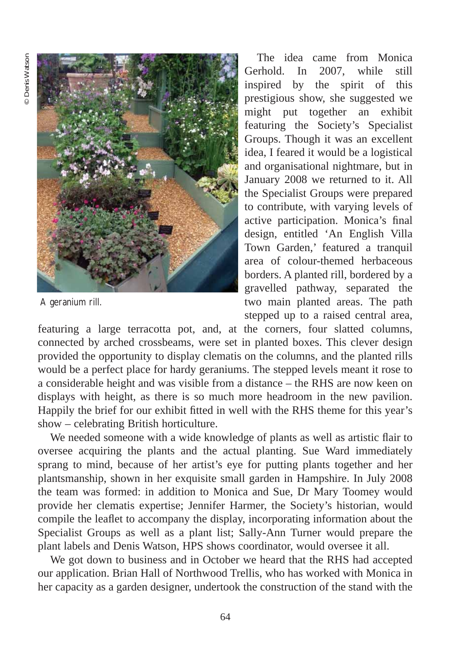

A geranium rill.

The idea came from Monica Gerhold In 2007 while still inspired by the spirit of this prestigious show, she suggested we might put together an exhibit featuring the Society's Specialist Groups. Though it was an excellent idea, I feared it would be a logistical and organisational nightmare, but in January 2008 we returned to it. All the Specialist Groups were prepared to contribute, with varying levels of active participation. Monica's final design, entitled 'An English Villa Town Garden,' featured a tranquil area of colour-themed herbaceous borders. A planted rill, bordered by a gravelled pathway, separated the two main planted areas. The path stepped up to a raised central area,

featuring a large terracotta pot, and, at the corners, four slatted columns, connected by arched crossbeams, were set in planted boxes. This clever design provided the opportunity to display clematis on the columns, and the planted rills would be a perfect place for hardy geraniums. The stepped levels meant it rose to a considerable height and was visible from a distance – the RHS are now keen on displays with height, as there is so much more headroom in the new pavilion. Happily the brief for our exhibit fitted in well with the RHS theme for this year's show – celebrating British horticulture.

We needed someone with a wide knowledge of plants as well as artistic flair to oversee acquiring the plants and the actual planting. Sue Ward immediately sprang to mind, because of her artist's eye for putting plants together and her plantsmanship, shown in her exquisite small garden in Hampshire. In July 2008 the team was formed: in addition to Monica and Sue, Dr Mary Toomey would provide her clematis expertise; Jennifer Harmer, the Society's historian, would compile the leaflet to accompany the display, incorporating information about the Specialist Groups as well as a plant list; Sally-Ann Turner would prepare the plant labels and Denis Watson, HPS shows coordinator, would oversee it all.

We got down to business and in October we heard that the RHS had accepted our application. Brian Hall of Northwood Trellis, who has worked with Monica in her capacity as a garden designer, undertook the construction of the stand with the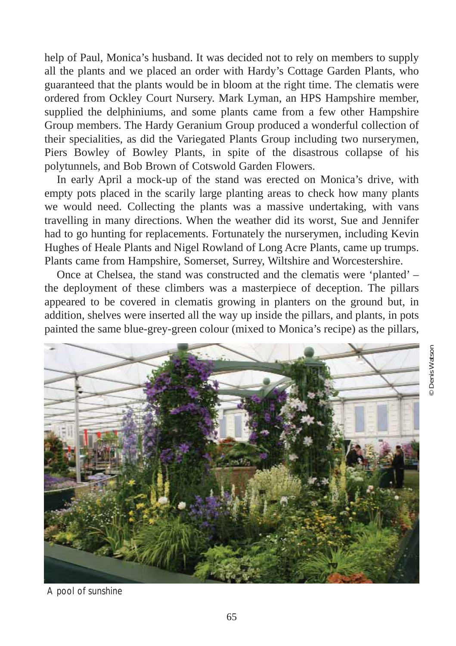help of Paul, Monica's husband. It was decided not to rely on members to supply all the plants and we placed an order with Hardy's Cottage Garden Plants, who guaranteed that the plants would be in bloom at the right time. The clematis were ordered from Ockley Court Nursery. Mark Lyman, an HPS Hampshire member, supplied the delphiniums, and some plants came from a few other Hampshire Group members. The Hardy Geranium Group produced a wonderful collection of their specialities, as did the Variegated Plants Group including two nurserymen, Piers Bowley of Bowley Plants, in spite of the disastrous collapse of his polytunnels, and Bob Brown of Cotswold Garden Flowers.

In early April a mock-up of the stand was erected on Monica's drive, with empty pots placed in the scarily large planting areas to check how many plants we would need. Collecting the plants was a massive undertaking, with vans travelling in many directions. When the weather did its worst, Sue and Jennifer had to go hunting for replacements. Fortunately the nurserymen, including Kevin Hughes of Heale Plants and Nigel Rowland of Long Acre Plants, came up trumps. Plants came from Hampshire, Somerset, Surrey, Wiltshire and Worcestershire.

Once at Chelsea, the stand was constructed and the clematis were 'planted' – the deployment of these climbers was a masterpiece of deception. The pillars appeared to be covered in clematis growing in planters on the ground but, in addition, shelves were inserted all the way up inside the pillars, and plants, in pots painted the same blue-grey-green colour (mixed to Monica's recipe) as the pillars,



A pool of sunshine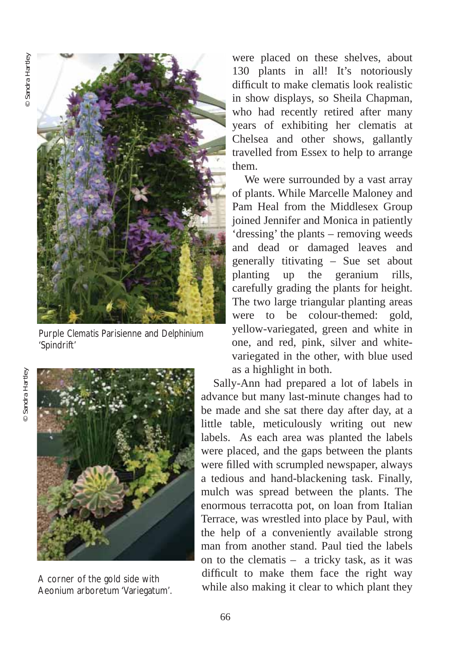

Purple *Clematis* Parisienne and *Delphinium* 'Spindrift'

Sandra Hartley © Sandra Hartley



Aeonium arboretum 'Variegatum'.

were placed on these shelves, about 130 plants in all! It's notoriously difficult to make clematis look realistic in show displays, so Sheila Chapman, who had recently retired after many years of exhibiting her clematis at Chelsea and other shows, gallantly travelled from Essex to help to arrange them.

We were surrounded by a vast array of plants. While Marcelle Maloney and Pam Heal from the Middlesex Group joined Jennifer and Monica in patiently 'dressing' the plants – removing weeds and dead or damaged leaves and generally titivating – Sue set about planting up the geranium rills, carefully grading the plants for height. The two large triangular planting areas were to be colour-themed: gold, yellow-variegated, green and white in one, and red, pink, silver and whitevariegated in the other, with blue used as a highlight in both.

Sally-Ann had prepared a lot of labels in advance but many last-minute changes had to be made and she sat there day after day, at a little table, meticulously writing out new labels. As each area was planted the labels were placed, and the gaps between the plants were filled with scrumpled newspaper, always a tedious and hand-blackening task. Finally, mulch was spread between the plants. The enormous terracotta pot, on loan from Italian Terrace, was wrestled into place by Paul, with the help of a conveniently available strong man from another stand. Paul tied the labels on to the clematis – a tricky task, as it was difficult to make them face the right way A corner of the gold side with<br>A conjum arboretum (Varienatum) while also making it clear to which plant they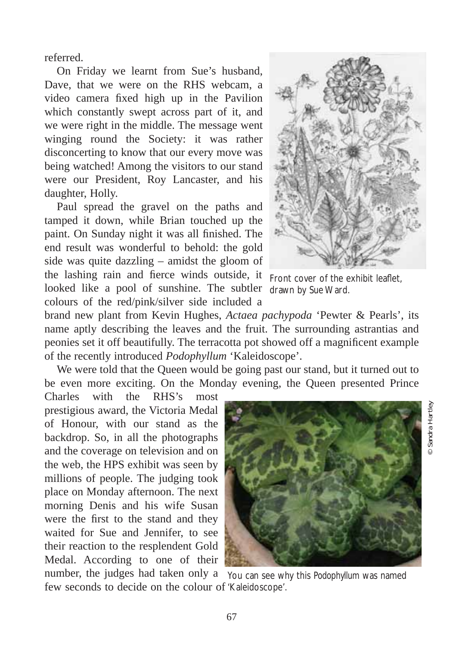referred.

On Friday we learnt from Sue's husband, Dave, that we were on the RHS webcam, a video camera fixed high up in the Pavilion which constantly swept across part of it, and we were right in the middle. The message went winging round the Society: it was rather disconcerting to know that our every move was being watched! Among the visitors to our stand were our President, Roy Lancaster, and his daughter, Holly.

Paul spread the gravel on the paths and tamped it down, while Brian touched up the paint. On Sunday night it was all finished. The end result was wonderful to behold: the gold side was quite dazzling – amidst the gloom of the lashing rain and fierce winds outside, it Front cover of the exhibit leaflet, looked like a pool of sunshine. The subtler drawn by Sue Ward. colours of the red/pink/silver side included a



brand new plant from Kevin Hughes, *Actaea pachypoda* 'Pewter & Pearls', its name aptly describing the leaves and the fruit. The surrounding astrantias and peonies set it off beautifully. The terracotta pot showed off a magnificent example of the recently introduced *Podophyllum* 'Kaleidoscope'.

We were told that the Queen would be going past our stand, but it turned out to be even more exciting. On the Monday evening, the Queen presented Prince

Charles with the RHS's most prestigious award, the Victoria Medal of Honour, with our stand as the backdrop. So, in all the photographs and the coverage on television and on the web, the HPS exhibit was seen by millions of people. The judging took place on Monday afternoon. The next morning Denis and his wife Susan were the first to the stand and they waited for Sue and Jennifer, to see their reaction to the resplendent Gold Medal. According to one of their



© Sandra Hartley

number, the judges had taken only a You can see why this *Podophyllum* was named few seconds to decide on the colour of 'Kaleidoscope'.